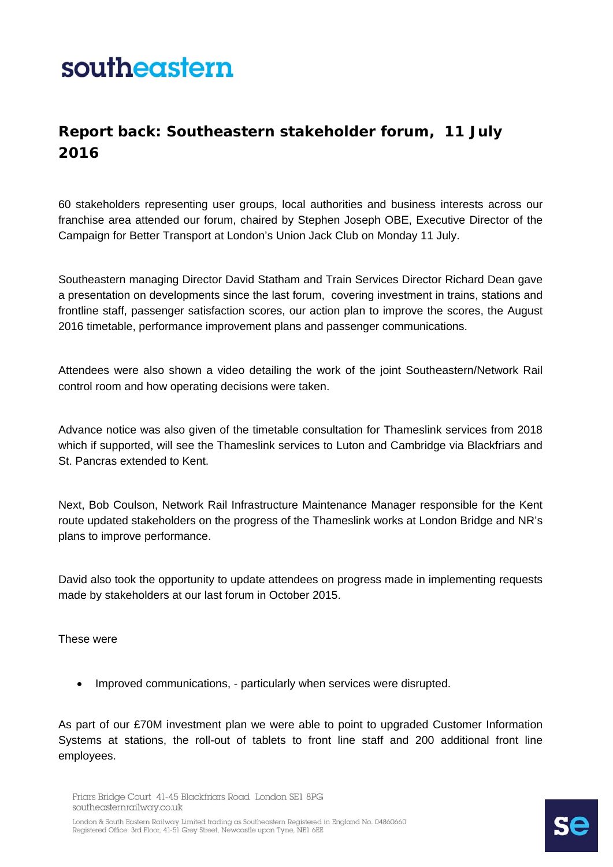## southeastern

## **Report back: Southeastern stakeholder forum, 11 July 2016**

60 stakeholders representing user groups, local authorities and business interests across our franchise area attended our forum, chaired by Stephen Joseph OBE, Executive Director of the Campaign for Better Transport at London's Union Jack Club on Monday 11 July.

Southeastern managing Director David Statham and Train Services Director Richard Dean gave a presentation on developments since the last forum, covering investment in trains, stations and frontline staff, passenger satisfaction scores, our action plan to improve the scores, the August 2016 timetable, performance improvement plans and passenger communications.

Attendees were also shown a video detailing the work of the joint Southeastern/Network Rail control room and how operating decisions were taken.

Advance notice was also given of the timetable consultation for Thameslink services from 2018 which if supported, will see the Thameslink services to Luton and Cambridge via Blackfriars and St. Pancras extended to Kent.

Next, Bob Coulson, Network Rail Infrastructure Maintenance Manager responsible for the Kent route updated stakeholders on the progress of the Thameslink works at London Bridge and NR's plans to improve performance.

David also took the opportunity to update attendees on progress made in implementing requests made by stakeholders at our last forum in October 2015.

These were

• Improved communications, - particularly when services were disrupted.

As part of our £70M investment plan we were able to point to upgraded Customer Information Systems at stations, the roll-out of tablets to front line staff and 200 additional front line employees.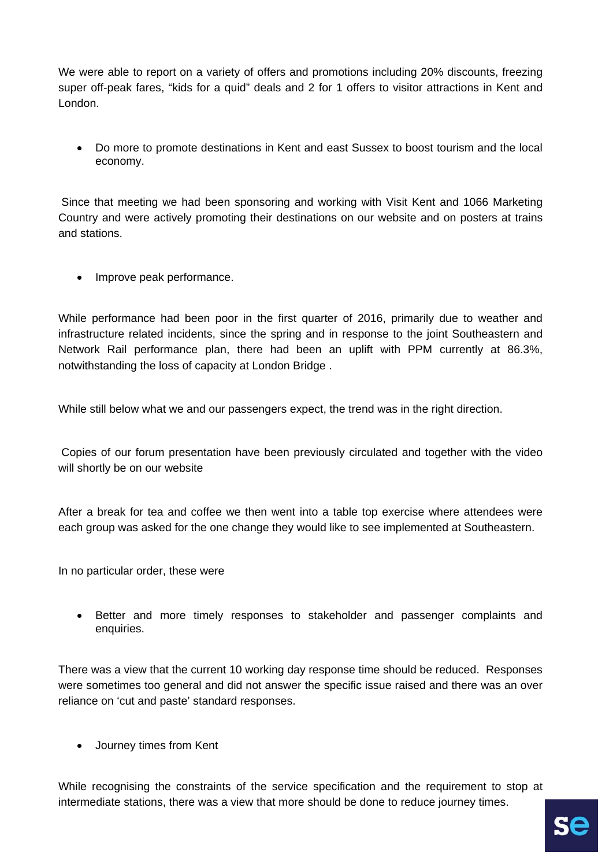We were able to report on a variety of offers and promotions including 20% discounts, freezing super off-peak fares, "kids for a quid" deals and 2 for 1 offers to visitor attractions in Kent and London.

• Do more to promote destinations in Kent and east Sussex to boost tourism and the local economy.

 Since that meeting we had been sponsoring and working with Visit Kent and 1066 Marketing Country and were actively promoting their destinations on our website and on posters at trains and stations.

• Improve peak performance.

While performance had been poor in the first quarter of 2016, primarily due to weather and infrastructure related incidents, since the spring and in response to the joint Southeastern and Network Rail performance plan, there had been an uplift with PPM currently at 86.3%, notwithstanding the loss of capacity at London Bridge .

While still below what we and our passengers expect, the trend was in the right direction.

 Copies of our forum presentation have been previously circulated and together with the video will shortly be on our website

After a break for tea and coffee we then went into a table top exercise where attendees were each group was asked for the one change they would like to see implemented at Southeastern.

In no particular order, these were

• Better and more timely responses to stakeholder and passenger complaints and enquiries.

There was a view that the current 10 working day response time should be reduced. Responses were sometimes too general and did not answer the specific issue raised and there was an over reliance on 'cut and paste' standard responses.

• Journey times from Kent

While recognising the constraints of the service specification and the requirement to stop at intermediate stations, there was a view that more should be done to reduce journey times.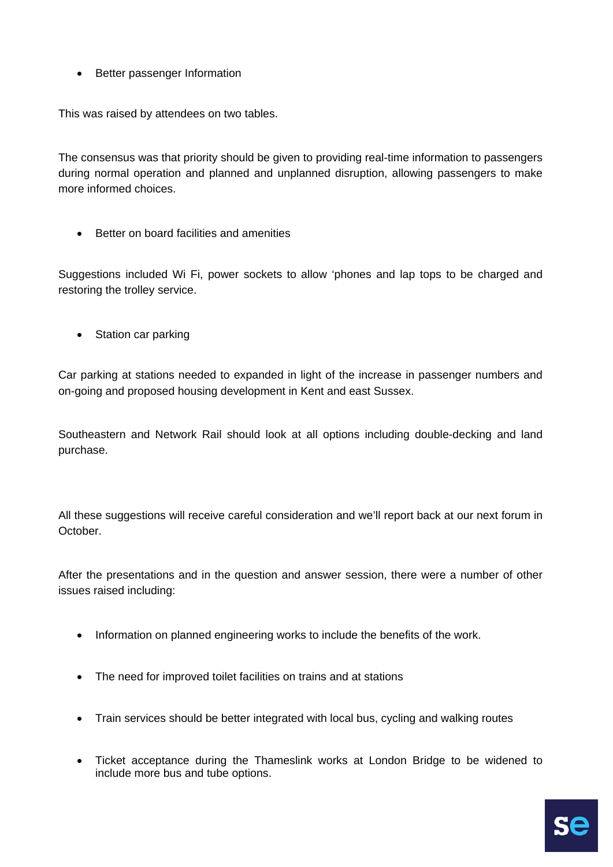• Better passenger Information

This was raised by attendees on two tables.

The consensus was that priority should be given to providing real-time information to passengers during normal operation and planned and unplanned disruption, allowing passengers to make more informed choices.

• Better on board facilities and amenities

Suggestions included Wi Fi, power sockets to allow 'phones and lap tops to be charged and restoring the trolley service.

• Station car parking

Car parking at stations needed to expanded in light of the increase in passenger numbers and on-going and proposed housing development in Kent and east Sussex.

Southeastern and Network Rail should look at all options including double-decking and land purchase.

All these suggestions will receive careful consideration and we'll report back at our next forum in October.

After the presentations and in the question and answer session, there were a number of other issues raised including:

- Information on planned engineering works to include the benefits of the work.
- The need for improved toilet facilities on trains and at stations
- Train services should be better integrated with local bus, cycling and walking routes
- Ticket acceptance during the Thameslink works at London Bridge to be widened to include more bus and tube options.